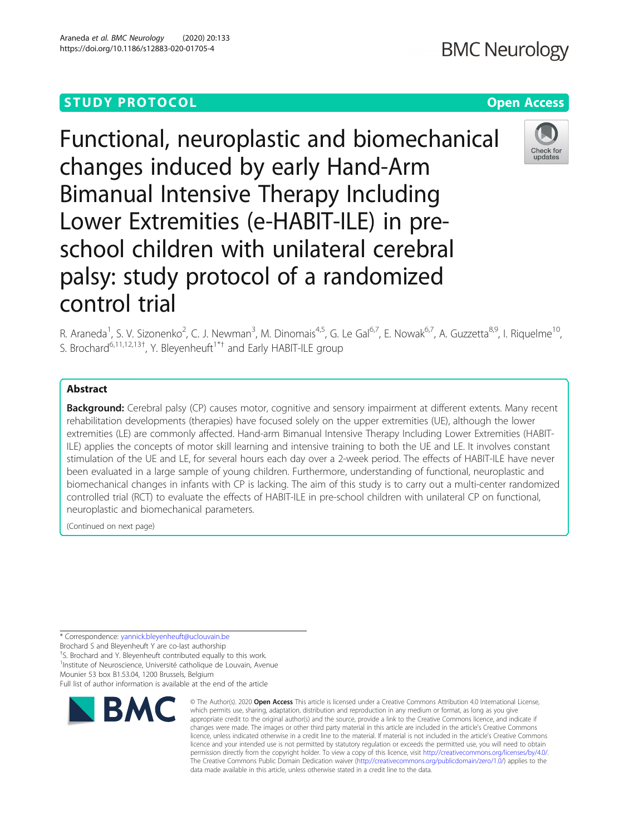# **STUDY PROTOCOL CONSUMING THE RESERVE ACCESS**



Functional, neuroplastic and biomechanical changes induced by early Hand-Arm Bimanual Intensive Therapy Including Lower Extremities (e-HABIT-ILE) in preschool children with unilateral cerebral palsy: study protocol of a randomized control trial

R. Araneda<sup>1</sup>, S. V. Sizonenko<sup>2</sup>, C. J. Newman<sup>3</sup>, M. Dinomais<sup>4,5</sup>, G. Le Gal<sup>6,7</sup>, E. Nowak<sup>6,7</sup>, A. Guzzetta<sup>8,9</sup>, I. Riquelme<sup>10</sup>, S. Brochard<sup>6,11,12,13†</sup>, Y. Bleyenheuft<sup>1\*†</sup> and Early HABIT-ILE group

# Abstract

Background: Cerebral palsy (CP) causes motor, cognitive and sensory impairment at different extents. Many recent rehabilitation developments (therapies) have focused solely on the upper extremities (UE), although the lower extremities (LE) are commonly affected. Hand-arm Bimanual Intensive Therapy Including Lower Extremities (HABIT-ILE) applies the concepts of motor skill learning and intensive training to both the UE and LE. It involves constant stimulation of the UE and LE, for several hours each day over a 2-week period. The effects of HABIT-ILE have never been evaluated in a large sample of young children. Furthermore, understanding of functional, neuroplastic and biomechanical changes in infants with CP is lacking. The aim of this study is to carry out a multi-center randomized controlled trial (RCT) to evaluate the effects of HABIT-ILE in pre-school children with unilateral CP on functional, neuroplastic and biomechanical parameters.

(Continued on next page)

\* Correspondence: [yannick.bleyenheuft@uclouvain.be](mailto:yannick.bleyenheuft@uclouvain.be)

Brochard S and Bleyenheuft Y are co-last authorship

† S. Brochard and Y. Bleyenheuft contributed equally to this work.

<sup>1</sup>Institute of Neuroscience, Université catholique de Louvain, Avenue Mounier 53 box B1.53.04, 1200 Brussels, Belgium

Full list of author information is available at the end of the article



© The Author(s), 2020 **Open Access** This article is licensed under a Creative Commons Attribution 4.0 International License, which permits use, sharing, adaptation, distribution and reproduction in any medium or format, as long as you give appropriate credit to the original author(s) and the source, provide a link to the Creative Commons licence, and indicate if changes were made. The images or other third party material in this article are included in the article's Creative Commons licence, unless indicated otherwise in a credit line to the material. If material is not included in the article's Creative Commons licence and your intended use is not permitted by statutory regulation or exceeds the permitted use, you will need to obtain permission directly from the copyright holder. To view a copy of this licence, visit [http://creativecommons.org/licenses/by/4.0/.](http://creativecommons.org/licenses/by/4.0/) The Creative Commons Public Domain Dedication waiver [\(http://creativecommons.org/publicdomain/zero/1.0/](http://creativecommons.org/publicdomain/zero/1.0/)) applies to the data made available in this article, unless otherwise stated in a credit line to the data.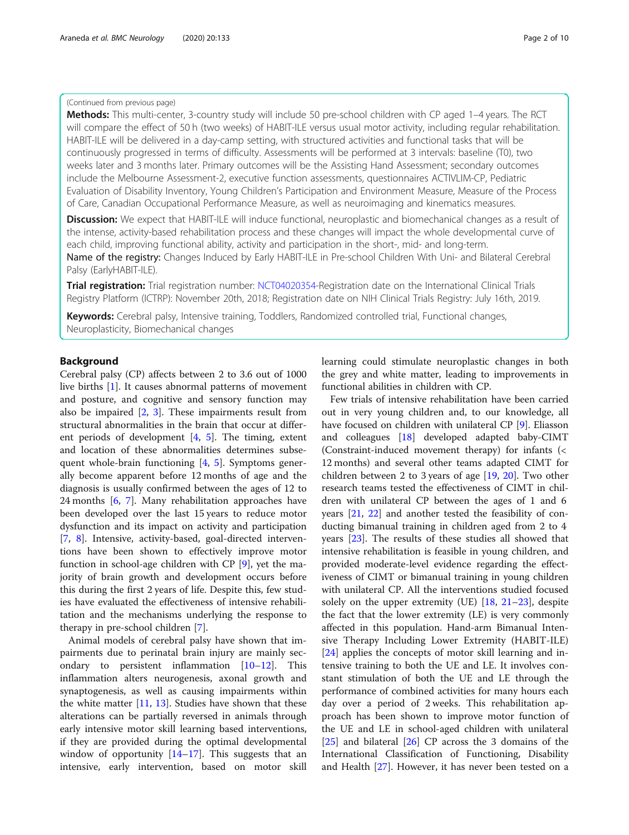# (Continued from previous page)

Methods: This multi-center, 3-country study will include 50 pre-school children with CP aged 1-4 years. The RCT will compare the effect of 50 h (two weeks) of HABIT-ILE versus usual motor activity, including regular rehabilitation. HABIT-ILE will be delivered in a day-camp setting, with structured activities and functional tasks that will be continuously progressed in terms of difficulty. Assessments will be performed at 3 intervals: baseline (T0), two weeks later and 3 months later. Primary outcomes will be the Assisting Hand Assessment; secondary outcomes include the Melbourne Assessment-2, executive function assessments, questionnaires ACTIVLIM-CP, Pediatric Evaluation of Disability Inventory, Young Children's Participation and Environment Measure, Measure of the Process of Care, Canadian Occupational Performance Measure, as well as neuroimaging and kinematics measures.

**Discussion:** We expect that HABIT-ILE will induce functional, neuroplastic and biomechanical changes as a result of the intense, activity-based rehabilitation process and these changes will impact the whole developmental curve of each child, improving functional ability, activity and participation in the short-, mid- and long-term. Name of the registry: Changes Induced by Early HABIT-ILE in Pre-school Children With Uni- and Bilateral Cerebral Palsy (EarlyHABIT-ILE).

Trial registration: Trial registration number: [NCT04020354](https://clinicaltrials.gov/ct2/show/study/NCT04020354?term=HABIT-ILE&cond=Cerebral+Palsy&draw=2&rank=2)-Registration date on the International Clinical Trials Registry Platform (ICTRP): November 20th, 2018; Registration date on NIH Clinical Trials Registry: July 16th, 2019.

Keywords: Cerebral palsy, Intensive training, Toddlers, Randomized controlled trial, Functional changes, Neuroplasticity, Biomechanical changes

# Background

Cerebral palsy (CP) affects between 2 to 3.6 out of 1000 live births [\[1](#page-7-0)]. It causes abnormal patterns of movement and posture, and cognitive and sensory function may also be impaired  $[2, 3]$  $[2, 3]$  $[2, 3]$  $[2, 3]$ . These impairments result from structural abnormalities in the brain that occur at different periods of development [\[4](#page-7-0), [5](#page-7-0)]. The timing, extent and location of these abnormalities determines subsequent whole-brain functioning [[4,](#page-7-0) [5\]](#page-7-0). Symptoms generally become apparent before 12 months of age and the diagnosis is usually confirmed between the ages of 12 to 24 months [\[6](#page-7-0), [7](#page-7-0)]. Many rehabilitation approaches have been developed over the last 15 years to reduce motor dysfunction and its impact on activity and participation [[7,](#page-7-0) [8](#page-7-0)]. Intensive, activity-based, goal-directed interventions have been shown to effectively improve motor function in school-age children with CP [\[9](#page-7-0)], yet the majority of brain growth and development occurs before this during the first 2 years of life. Despite this, few studies have evaluated the effectiveness of intensive rehabilitation and the mechanisms underlying the response to therapy in pre-school children [[7\]](#page-7-0).

Animal models of cerebral palsy have shown that impairments due to perinatal brain injury are mainly secondary to persistent inflammation [\[10](#page-7-0)–[12\]](#page-7-0). This inflammation alters neurogenesis, axonal growth and synaptogenesis, as well as causing impairments within the white matter  $[11, 13]$  $[11, 13]$  $[11, 13]$  $[11, 13]$  $[11, 13]$ . Studies have shown that these alterations can be partially reversed in animals through early intensive motor skill learning based interventions, if they are provided during the optimal developmental window of opportunity  $[14–17]$  $[14–17]$  $[14–17]$  $[14–17]$  $[14–17]$ . This suggests that an intensive, early intervention, based on motor skill learning could stimulate neuroplastic changes in both the grey and white matter, leading to improvements in functional abilities in children with CP.

Few trials of intensive rehabilitation have been carried out in very young children and, to our knowledge, all have focused on children with unilateral CP [\[9](#page-7-0)]. Eliasson and colleagues [\[18](#page-7-0)] developed adapted baby-CIMT (Constraint-induced movement therapy) for infants (< 12 months) and several other teams adapted CIMT for children between 2 to 3 years of age [\[19,](#page-8-0) [20](#page-8-0)]. Two other research teams tested the effectiveness of CIMT in children with unilateral CP between the ages of 1 and 6 years [[21](#page-8-0), [22](#page-8-0)] and another tested the feasibility of conducting bimanual training in children aged from 2 to 4 years [[23\]](#page-8-0). The results of these studies all showed that intensive rehabilitation is feasible in young children, and provided moderate-level evidence regarding the effectiveness of CIMT or bimanual training in young children with unilateral CP. All the interventions studied focused solely on the upper extremity (UE) [\[18](#page-7-0), [21](#page-8-0)–[23\]](#page-8-0), despite the fact that the lower extremity (LE) is very commonly affected in this population. Hand-arm Bimanual Intensive Therapy Including Lower Extremity (HABIT-ILE) [[24\]](#page-8-0) applies the concepts of motor skill learning and intensive training to both the UE and LE. It involves constant stimulation of both the UE and LE through the performance of combined activities for many hours each day over a period of 2 weeks. This rehabilitation approach has been shown to improve motor function of the UE and LE in school-aged children with unilateral [[25\]](#page-8-0) and bilateral [[26\]](#page-8-0) CP across the 3 domains of the International Classification of Functioning, Disability and Health [\[27](#page-8-0)]. However, it has never been tested on a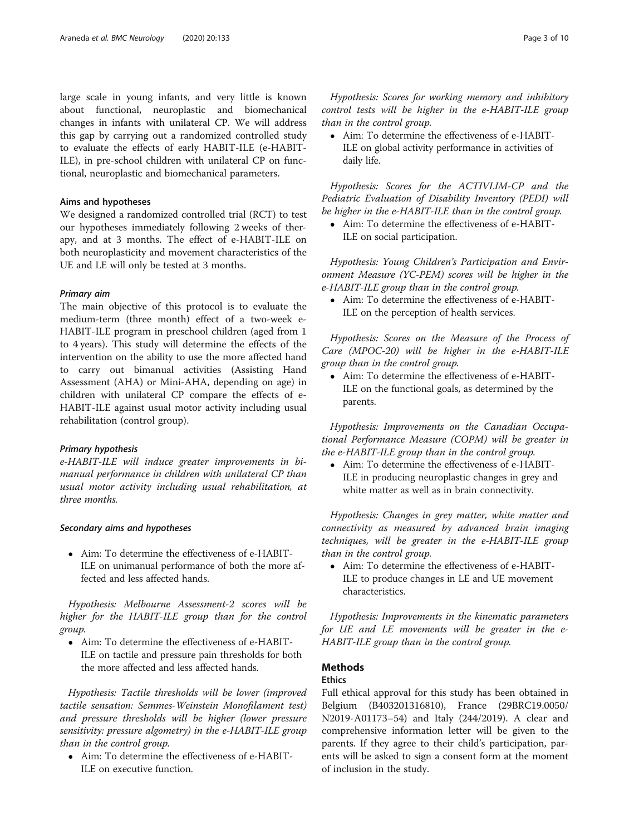large scale in young infants, and very little is known about functional, neuroplastic and biomechanical changes in infants with unilateral CP. We will address this gap by carrying out a randomized controlled study to evaluate the effects of early HABIT-ILE (e-HABIT-ILE), in pre-school children with unilateral CP on functional, neuroplastic and biomechanical parameters.

# Aims and hypotheses

We designed a randomized controlled trial (RCT) to test our hypotheses immediately following 2 weeks of therapy, and at 3 months. The effect of e-HABIT-ILE on both neuroplasticity and movement characteristics of the UE and LE will only be tested at 3 months.

### Primary aim

The main objective of this protocol is to evaluate the medium-term (three month) effect of a two-week e-HABIT-ILE program in preschool children (aged from 1 to 4 years). This study will determine the effects of the intervention on the ability to use the more affected hand to carry out bimanual activities (Assisting Hand Assessment (AHA) or Mini-AHA, depending on age) in children with unilateral CP compare the effects of e-HABIT-ILE against usual motor activity including usual rehabilitation (control group).

# Primary hypothesis

e-HABIT-ILE will induce greater improvements in bimanual performance in children with unilateral CP than usual motor activity including usual rehabilitation, at three months.

#### Secondary aims and hypotheses

 Aim: To determine the effectiveness of e-HABIT-ILE on unimanual performance of both the more affected and less affected hands.

Hypothesis: Melbourne Assessment-2 scores will be higher for the HABIT-ILE group than for the control group.

 Aim: To determine the effectiveness of e-HABIT-ILE on tactile and pressure pain thresholds for both the more affected and less affected hands.

Hypothesis: Tactile thresholds will be lower (improved tactile sensation: Semmes-Weinstein Monofilament test) and pressure thresholds will be higher (lower pressure sensitivity: pressure algometry) in the e-HABIT-ILE group than in the control group.

 Aim: To determine the effectiveness of e-HABIT-ILE on executive function.

Hypothesis: Scores for working memory and inhibitory control tests will be higher in the e-HABIT-ILE group than in the control group.

 Aim: To determine the effectiveness of e-HABIT-ILE on global activity performance in activities of daily life.

Hypothesis: Scores for the ACTIVLIM-CP and the Pediatric Evaluation of Disability Inventory (PEDI) will be higher in the e-HABIT-ILE than in the control group.

 Aim: To determine the effectiveness of e-HABIT-ILE on social participation.

Hypothesis: Young Children's Participation and Environment Measure (YC-PEM) scores will be higher in the e-HABIT-ILE group than in the control group.

 Aim: To determine the effectiveness of e-HABIT-ILE on the perception of health services.

Hypothesis: Scores on the Measure of the Process of Care (MPOC-20) will be higher in the e-HABIT-ILE group than in the control group.

 Aim: To determine the effectiveness of e-HABIT-ILE on the functional goals, as determined by the parents.

Hypothesis: Improvements on the Canadian Occupational Performance Measure (COPM) will be greater in the e-HABIT-ILE group than in the control group.

 Aim: To determine the effectiveness of e-HABIT-ILE in producing neuroplastic changes in grey and white matter as well as in brain connectivity.

Hypothesis: Changes in grey matter, white matter and connectivity as measured by advanced brain imaging techniques, will be greater in the e-HABIT-ILE group than in the control group.

 Aim: To determine the effectiveness of e-HABIT-ILE to produce changes in LE and UE movement characteristics.

Hypothesis: Improvements in the kinematic parameters for UE and LE movements will be greater in the e-HABIT-ILE group than in the control group.

# Methods

#### Ethics

Full ethical approval for this study has been obtained in Belgium (B403201316810), France (29BRC19.0050/ N2019-A01173–54) and Italy (244/2019). A clear and comprehensive information letter will be given to the parents. If they agree to their child's participation, parents will be asked to sign a consent form at the moment of inclusion in the study.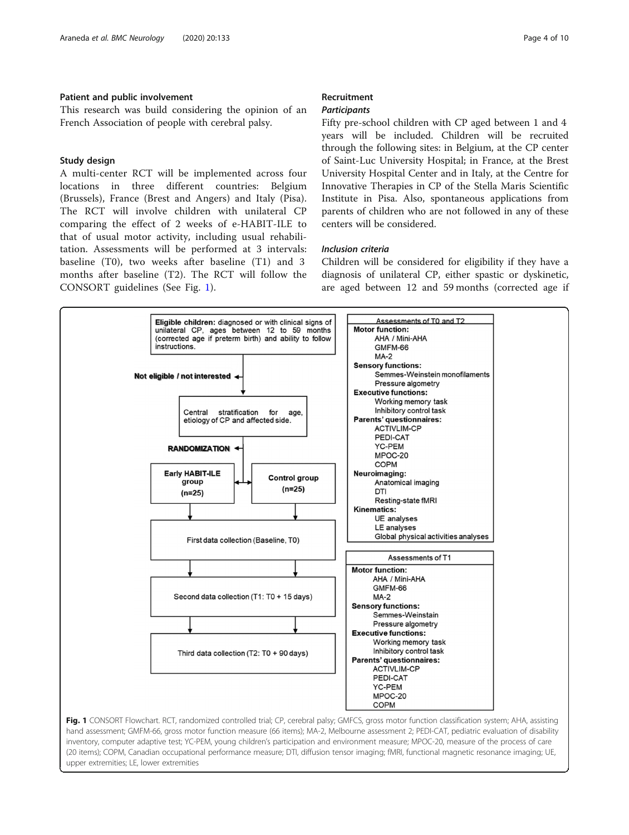# Patient and public involvement

This research was build considering the opinion of an French Association of people with cerebral palsy.

# Study design

A multi-center RCT will be implemented across four locations in three different countries: Belgium (Brussels), France (Brest and Angers) and Italy (Pisa). The RCT will involve children with unilateral CP comparing the effect of 2 weeks of e-HABIT-ILE to that of usual motor activity, including usual rehabilitation. Assessments will be performed at 3 intervals: baseline (T0), two weeks after baseline (T1) and 3 months after baseline (T2). The RCT will follow the CONSORT guidelines (See Fig. 1).

# Recruitment **Participants**

Fifty pre-school children with CP aged between 1 and 4 years will be included. Children will be recruited through the following sites: in Belgium, at the CP center of Saint-Luc University Hospital; in France, at the Brest University Hospital Center and in Italy, at the Centre for Innovative Therapies in CP of the Stella Maris Scientific Institute in Pisa. Also, spontaneous applications from parents of children who are not followed in any of these centers will be considered.

# Inclusion criteria

Children will be considered for eligibility if they have a diagnosis of unilateral CP, either spastic or dyskinetic, are aged between 12 and 59 months (corrected age if

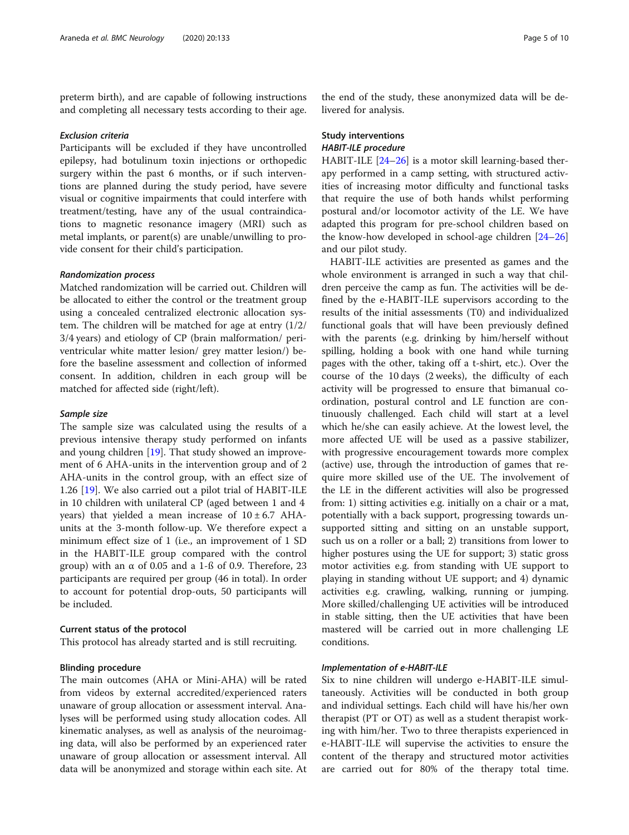preterm birth), and are capable of following instructions and completing all necessary tests according to their age.

#### Exclusion criteria

Participants will be excluded if they have uncontrolled epilepsy, had botulinum toxin injections or orthopedic surgery within the past 6 months, or if such interventions are planned during the study period, have severe visual or cognitive impairments that could interfere with treatment/testing, have any of the usual contraindications to magnetic resonance imagery (MRI) such as metal implants, or parent(s) are unable/unwilling to provide consent for their child's participation.

# Randomization process

Matched randomization will be carried out. Children will be allocated to either the control or the treatment group using a concealed centralized electronic allocation system. The children will be matched for age at entry (1/2/ 3/4 years) and etiology of CP (brain malformation/ periventricular white matter lesion/ grey matter lesion/) before the baseline assessment and collection of informed consent. In addition, children in each group will be matched for affected side (right/left).

#### Sample size

The sample size was calculated using the results of a previous intensive therapy study performed on infants and young children [[19\]](#page-8-0). That study showed an improvement of 6 AHA-units in the intervention group and of 2 AHA-units in the control group, with an effect size of 1.26 [[19\]](#page-8-0). We also carried out a pilot trial of HABIT-ILE in 10 children with unilateral CP (aged between 1 and 4 years) that yielded a mean increase of  $10 \pm 6.7$  AHAunits at the 3-month follow-up. We therefore expect a minimum effect size of 1 (i.e., an improvement of 1 SD in the HABIT-ILE group compared with the control group) with an  $\alpha$  of 0.05 and a 1-ß of 0.9. Therefore, 23 participants are required per group (46 in total). In order to account for potential drop-outs, 50 participants will be included.

# Current status of the protocol

This protocol has already started and is still recruiting.

# Blinding procedure

The main outcomes (AHA or Mini-AHA) will be rated from videos by external accredited/experienced raters unaware of group allocation or assessment interval. Analyses will be performed using study allocation codes. All kinematic analyses, as well as analysis of the neuroimaging data, will also be performed by an experienced rater unaware of group allocation or assessment interval. All data will be anonymized and storage within each site. At

the end of the study, these anonymized data will be delivered for analysis.

# Study interventions HABIT-ILE procedure

HABIT-ILE [\[24](#page-8-0)–[26\]](#page-8-0) is a motor skill learning-based therapy performed in a camp setting, with structured activities of increasing motor difficulty and functional tasks that require the use of both hands whilst performing postural and/or locomotor activity of the LE. We have adapted this program for pre-school children based on the know-how developed in school-age children [[24](#page-8-0)–[26](#page-8-0)] and our pilot study.

HABIT-ILE activities are presented as games and the whole environment is arranged in such a way that children perceive the camp as fun. The activities will be defined by the e-HABIT-ILE supervisors according to the results of the initial assessments (T0) and individualized functional goals that will have been previously defined with the parents (e.g. drinking by him/herself without spilling, holding a book with one hand while turning pages with the other, taking off a t-shirt, etc.). Over the course of the 10 days (2 weeks), the difficulty of each activity will be progressed to ensure that bimanual coordination, postural control and LE function are continuously challenged. Each child will start at a level which he/she can easily achieve. At the lowest level, the more affected UE will be used as a passive stabilizer, with progressive encouragement towards more complex (active) use, through the introduction of games that require more skilled use of the UE. The involvement of the LE in the different activities will also be progressed from: 1) sitting activities e.g. initially on a chair or a mat, potentially with a back support, progressing towards unsupported sitting and sitting on an unstable support, such us on a roller or a ball; 2) transitions from lower to higher postures using the UE for support; 3) static gross motor activities e.g. from standing with UE support to playing in standing without UE support; and 4) dynamic activities e.g. crawling, walking, running or jumping. More skilled/challenging UE activities will be introduced in stable sitting, then the UE activities that have been mastered will be carried out in more challenging LE conditions.

# Implementation of e-HABIT-ILE

Six to nine children will undergo e-HABIT-ILE simultaneously. Activities will be conducted in both group and individual settings. Each child will have his/her own therapist (PT or OT) as well as a student therapist working with him/her. Two to three therapists experienced in e-HABIT-ILE will supervise the activities to ensure the content of the therapy and structured motor activities are carried out for 80% of the therapy total time.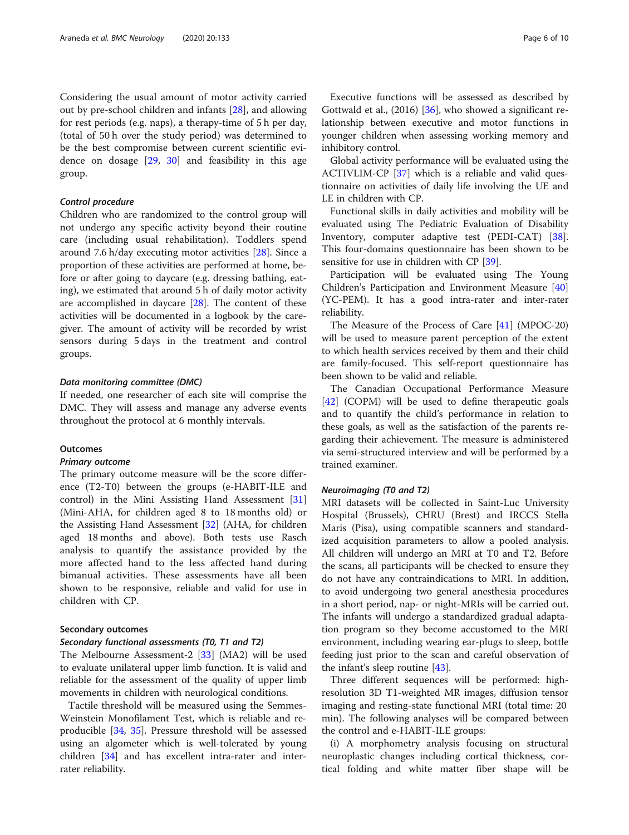Considering the usual amount of motor activity carried out by pre-school children and infants [\[28](#page-8-0)], and allowing for rest periods (e.g. naps), a therapy-time of 5 h per day, (total of 50 h over the study period) was determined to be the best compromise between current scientific evidence on dosage [[29,](#page-8-0) [30\]](#page-8-0) and feasibility in this age group.

#### Control procedure

Children who are randomized to the control group will not undergo any specific activity beyond their routine care (including usual rehabilitation). Toddlers spend around 7.6 h/day executing motor activities [[28](#page-8-0)]. Since a proportion of these activities are performed at home, before or after going to daycare (e.g. dressing bathing, eating), we estimated that around 5 h of daily motor activity are accomplished in daycare [[28\]](#page-8-0). The content of these activities will be documented in a logbook by the caregiver. The amount of activity will be recorded by wrist sensors during 5 days in the treatment and control groups.

#### Data monitoring committee (DMC)

If needed, one researcher of each site will comprise the DMC. They will assess and manage any adverse events throughout the protocol at 6 monthly intervals.

# **Outcomes**

### Primary outcome

The primary outcome measure will be the score difference (T2-T0) between the groups (e-HABIT-ILE and control) in the Mini Assisting Hand Assessment [[31](#page-8-0)] (Mini-AHA, for children aged 8 to 18 months old) or the Assisting Hand Assessment [[32](#page-8-0)] (AHA, for children aged 18 months and above). Both tests use Rasch analysis to quantify the assistance provided by the more affected hand to the less affected hand during bimanual activities. These assessments have all been shown to be responsive, reliable and valid for use in children with CP.

# Secondary outcomes

#### Secondary functional assessments (T0, T1 and T2)

The Melbourne Assessment-2 [\[33](#page-8-0)] (MA2) will be used to evaluate unilateral upper limb function. It is valid and reliable for the assessment of the quality of upper limb movements in children with neurological conditions.

Tactile threshold will be measured using the Semmes-Weinstein Monofilament Test, which is reliable and reproducible [[34](#page-8-0), [35\]](#page-8-0). Pressure threshold will be assessed using an algometer which is well-tolerated by young children [\[34\]](#page-8-0) and has excellent intra-rater and interrater reliability.

Executive functions will be assessed as described by Gottwald et al., (2016) [[36](#page-8-0)], who showed a significant relationship between executive and motor functions in younger children when assessing working memory and inhibitory control.

Global activity performance will be evaluated using the ACTIVLIM-CP [[37\]](#page-8-0) which is a reliable and valid questionnaire on activities of daily life involving the UE and LE in children with CP.

Functional skills in daily activities and mobility will be evaluated using The Pediatric Evaluation of Disability Inventory, computer adaptive test (PEDI-CAT) [\[38](#page-8-0)]. This four-domains questionnaire has been shown to be sensitive for use in children with CP [[39\]](#page-8-0).

Participation will be evaluated using The Young Children's Participation and Environment Measure [[40](#page-8-0)] (YC-PEM). It has a good intra-rater and inter-rater reliability.

The Measure of the Process of Care [\[41\]](#page-8-0) (MPOC-20) will be used to measure parent perception of the extent to which health services received by them and their child are family-focused. This self-report questionnaire has been shown to be valid and reliable.

The Canadian Occupational Performance Measure [[42\]](#page-8-0) (COPM) will be used to define therapeutic goals and to quantify the child's performance in relation to these goals, as well as the satisfaction of the parents regarding their achievement. The measure is administered via semi-structured interview and will be performed by a trained examiner.

# Neuroimaging (T0 and T2)

MRI datasets will be collected in Saint-Luc University Hospital (Brussels), CHRU (Brest) and IRCCS Stella Maris (Pisa), using compatible scanners and standardized acquisition parameters to allow a pooled analysis. All children will undergo an MRI at T0 and T2. Before the scans, all participants will be checked to ensure they do not have any contraindications to MRI. In addition, to avoid undergoing two general anesthesia procedures in a short period, nap- or night-MRIs will be carried out. The infants will undergo a standardized gradual adaptation program so they become accustomed to the MRI environment, including wearing ear-plugs to sleep, bottle feeding just prior to the scan and careful observation of the infant's sleep routine [\[43\]](#page-8-0).

Three different sequences will be performed: highresolution 3D T1-weighted MR images, diffusion tensor imaging and resting-state functional MRI (total time: 20 min). The following analyses will be compared between the control and e-HABIT-ILE groups:

(i) A morphometry analysis focusing on structural neuroplastic changes including cortical thickness, cortical folding and white matter fiber shape will be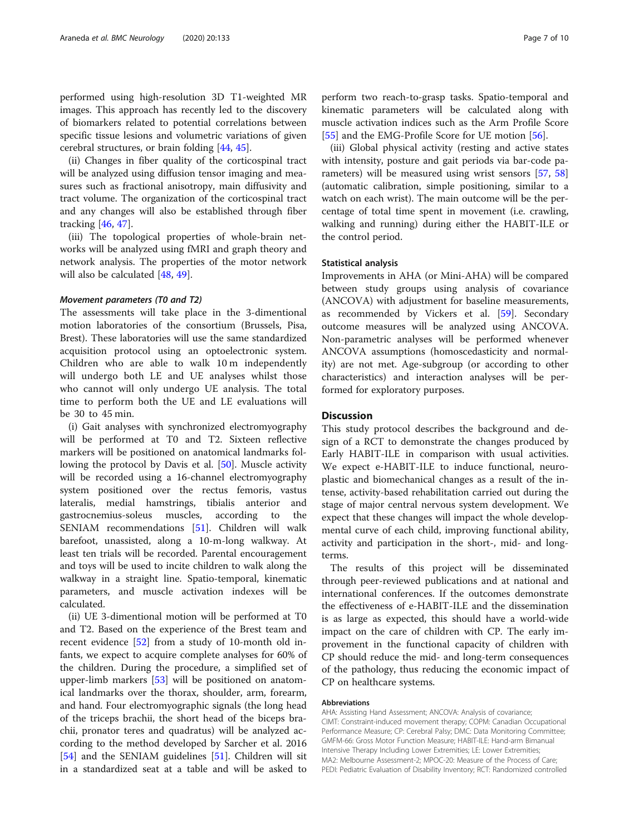performed using high-resolution 3D T1-weighted MR images. This approach has recently led to the discovery of biomarkers related to potential correlations between specific tissue lesions and volumetric variations of given cerebral structures, or brain folding [\[44](#page-8-0), [45](#page-8-0)].

(ii) Changes in fiber quality of the corticospinal tract will be analyzed using diffusion tensor imaging and measures such as fractional anisotropy, main diffusivity and tract volume. The organization of the corticospinal tract and any changes will also be established through fiber tracking [\[46,](#page-8-0) [47\]](#page-8-0).

(iii) The topological properties of whole-brain networks will be analyzed using fMRI and graph theory and network analysis. The properties of the motor network will also be calculated [\[48](#page-8-0), [49](#page-8-0)].

#### Movement parameters (T0 and T2)

The assessments will take place in the 3-dimentional motion laboratories of the consortium (Brussels, Pisa, Brest). These laboratories will use the same standardized acquisition protocol using an optoelectronic system. Children who are able to walk 10 m independently will undergo both LE and UE analyses whilst those who cannot will only undergo UE analysis. The total time to perform both the UE and LE evaluations will be 30 to 45 min.

(i) Gait analyses with synchronized electromyography will be performed at T0 and T2. Sixteen reflective markers will be positioned on anatomical landmarks following the protocol by Davis et al. [\[50](#page-8-0)]. Muscle activity will be recorded using a 16-channel electromyography system positioned over the rectus femoris, vastus lateralis, medial hamstrings, tibialis anterior and gastrocnemius-soleus muscles, according to the SENIAM recommendations [[51\]](#page-8-0). Children will walk barefoot, unassisted, along a 10-m-long walkway. At least ten trials will be recorded. Parental encouragement and toys will be used to incite children to walk along the walkway in a straight line. Spatio-temporal, kinematic parameters, and muscle activation indexes will be calculated.

(ii) UE 3-dimentional motion will be performed at T0 and T2. Based on the experience of the Brest team and recent evidence [\[52\]](#page-8-0) from a study of 10-month old infants, we expect to acquire complete analyses for 60% of the children. During the procedure, a simplified set of upper-limb markers [[53](#page-9-0)] will be positioned on anatomical landmarks over the thorax, shoulder, arm, forearm, and hand. Four electromyographic signals (the long head of the triceps brachii, the short head of the biceps brachii, pronator teres and quadratus) will be analyzed according to the method developed by Sarcher et al. 2016 [[54\]](#page-9-0) and the SENIAM guidelines [\[51\]](#page-8-0). Children will sit in a standardized seat at a table and will be asked to

perform two reach-to-grasp tasks. Spatio-temporal and kinematic parameters will be calculated along with muscle activation indices such as the Arm Profile Score [[55\]](#page-9-0) and the EMG-Profile Score for UE motion [\[56\]](#page-9-0).

(iii) Global physical activity (resting and active states with intensity, posture and gait periods via bar-code parameters) will be measured using wrist sensors [[57](#page-9-0), [58](#page-9-0)] (automatic calibration, simple positioning, similar to a watch on each wrist). The main outcome will be the percentage of total time spent in movement (i.e. crawling, walking and running) during either the HABIT-ILE or the control period.

#### Statistical analysis

Improvements in AHA (or Mini-AHA) will be compared between study groups using analysis of covariance (ANCOVA) with adjustment for baseline measurements, as recommended by Vickers et al. [\[59](#page-9-0)]. Secondary outcome measures will be analyzed using ANCOVA. Non-parametric analyses will be performed whenever ANCOVA assumptions (homoscedasticity and normality) are not met. Age-subgroup (or according to other characteristics) and interaction analyses will be performed for exploratory purposes.

# **Discussion**

This study protocol describes the background and design of a RCT to demonstrate the changes produced by Early HABIT-ILE in comparison with usual activities. We expect e-HABIT-ILE to induce functional, neuroplastic and biomechanical changes as a result of the intense, activity-based rehabilitation carried out during the stage of major central nervous system development. We expect that these changes will impact the whole developmental curve of each child, improving functional ability, activity and participation in the short-, mid- and longterms.

The results of this project will be disseminated through peer-reviewed publications and at national and international conferences. If the outcomes demonstrate the effectiveness of e-HABIT-ILE and the dissemination is as large as expected, this should have a world-wide impact on the care of children with CP. The early improvement in the functional capacity of children with CP should reduce the mid- and long-term consequences of the pathology, thus reducing the economic impact of CP on healthcare systems.

#### Abbreviations

AHA: Assisting Hand Assessment; ANCOVA: Analysis of covariance; CIMT: Constraint-induced movement therapy; COPM: Canadian Occupational Performance Measure; CP: Cerebral Palsy; DMC: Data Monitoring Committee; GMFM-66: Gross Motor Function Measure; HABIT-ILE: Hand-arm Bimanual Intensive Therapy Including Lower Extremities; LE: Lower Extremities; MA2: Melbourne Assessment-2; MPOC-20: Measure of the Process of Care; PEDI: Pediatric Evaluation of Disability Inventory; RCT: Randomized controlled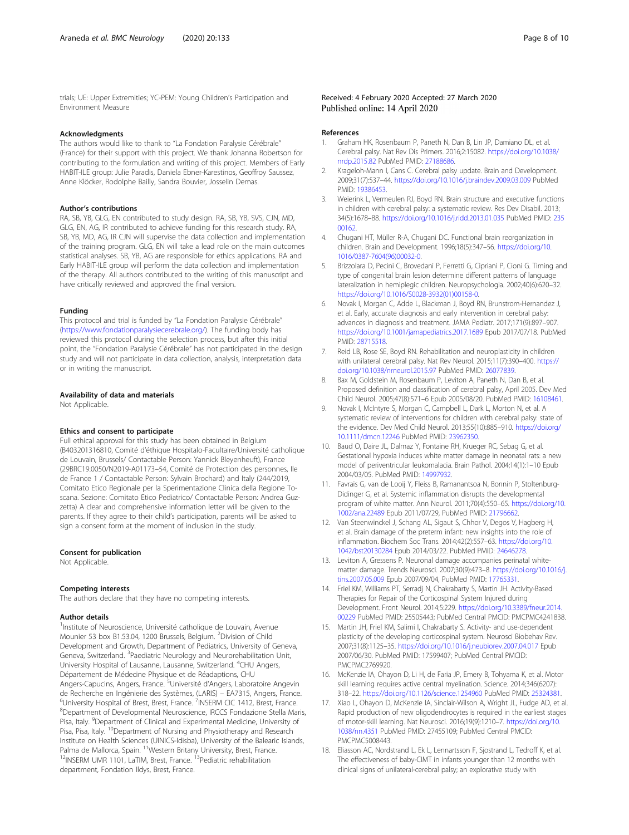<span id="page-7-0"></span>trials; UE: Upper Extremities; YC-PEM: Young Children's Participation and Environment Measure

#### Acknowledgments

The authors would like to thank to "La Fondation Paralysie Cérébrale" (France) for their support with this project. We thank Johanna Robertson for contributing to the formulation and writing of this project. Members of Early HABIT-ILE group: Julie Paradis, Daniela Ebner-Karestinos, Geoffroy Saussez, Anne Klöcker, Rodolphe Bailly, Sandra Bouvier, Josselin Demas.

#### Author's contributions

RA, SB, YB, GLG, EN contributed to study design. RA, SB, YB, SVS, CJN, MD, GLG, EN, AG, IR contributed to achieve funding for this research study. RA, SB, YB, MD, AG, IR CJN will supervise the data collection and implementation of the training program. GLG, EN will take a lead role on the main outcomes statistical analyses. SB, YB, AG are responsible for ethics applications. RA and Early HABIT-ILE group will perform the data collection and implementation of the therapy. All authors contributed to the writing of this manuscript and have critically reviewed and approved the final version.

#### Funding

This protocol and trial is funded by "La Fondation Paralysie Cérébrale" (<https://www.fondationparalysiecerebrale.org/>). The funding body has reviewed this protocol during the selection process, but after this initial point, the "Fondation Paralysie Cérébrale" has not participated in the design study and will not participate in data collection, analysis, interpretation data or in writing the manuscript.

#### Availability of data and materials

Not Applicable.

#### Ethics and consent to participate

Full ethical approval for this study has been obtained in Belgium (B403201316810, Comité d'éthique Hospitalo-Facultaire/Université catholique de Louvain, Brussels/ Contactable Person: Yannick Bleyenheuft), France (29BRC19.0050/N2019-A01173–54, Comité de Protection des personnes, Ile de France 1 / Contactable Person: Sylvain Brochard) and Italy (244/2019, Comitato Etico Regionale per la Sperimentazione Clinica della Regione Toscana. Sezione: Comitato Etico Pediatrico/ Contactable Person: Andrea Guzzetta) A clear and comprehensive information letter will be given to the parents. If they agree to their child's participation, parents will be asked to sign a consent form at the moment of inclusion in the study.

#### Consent for publication

Not Applicable.

#### Competing interests

The authors declare that they have no competing interests.

#### Author details

<sup>1</sup>Institute of Neuroscience, Université catholique de Louvain, Avenue Mounier 53 box B1.53.04, 1200 Brussels, Belgium. <sup>2</sup>Division of Child Development and Growth, Department of Pediatrics, University of Geneva, Geneva, Switzerland. <sup>3</sup>Paediatric Neurology and Neurorehabilitation Unit, University Hospital of Lausanne, Lausanne, Switzerland. <sup>4</sup>CHU Angers, Département de Médecine Physique et de Réadaptions, CHU Angers-Capucins, Angers, France. <sup>5</sup>Université d'Angers, Laboratoire Angevin de Recherche en Ingénierie des Systèmes, (LARIS) – EA7315, Angers, France. <sup>6</sup> <sup>6</sup>University Hospital of Brest, Brest, France. <sup>7</sup>INSERM CIC 1412, Brest, France.<br><sup>8</sup>Department of Dovelopmental Nouroscionse. IPCCS Fondazione. Stella Ma <sup>8</sup>Department of Developmental Neuroscience, IRCCS Fondazione Stella Maris, Pisa, Italy. <sup>9</sup>Department of Clinical and Experimental Medicine, University of Pisa, Pisa, Italy. <sup>10</sup>Department of Nursing and Physiotherapy and Research Institute on Health Sciences (UINICS-Idisba), University of the Balearic Islands, Palma de Mallorca, Spain. <sup>11</sup>Western Britany University, Brest, France. <sup>12</sup>INSERM UMR 1101, LaTIM, Brest, France. <sup>13</sup>Pediatric rehabilitation department, Fondation Ildys, Brest, France.

#### Received: 4 February 2020 Accepted: 27 March 2020 Published online: 14 April 2020

#### References

- 1. Graham HK, Rosenbaum P, Paneth N, Dan B, Lin JP, Damiano DL, et al. Cerebral palsy. Nat Rev Dis Primers. 2016;2:15082. [https://doi.org/10.1038/](https://doi.org/10.1038/nrdp.2015.82) [nrdp.2015.82](https://doi.org/10.1038/nrdp.2015.82) PubMed PMID: [27188686](https://www.ncbi.nlm.nih.gov/pubmed/27188686).
- 2. Krageloh-Mann I, Cans C. Cerebral palsy update. Brain and Development. 2009;31(7):537–44. <https://doi.org/10.1016/j.braindev.2009.03.009> PubMed PMID: [19386453](https://www.ncbi.nlm.nih.gov/pubmed/19386453).
- 3. Weierink L, Vermeulen RJ, Boyd RN. Brain structure and executive functions in children with cerebral palsy: a systematic review. Res Dev Disabil. 2013; 34(5):1678–88. <https://doi.org/10.1016/j.ridd.2013.01.035> PubMed PMID: [235](https://www.ncbi.nlm.nih.gov/pubmed/23500162) [00162.](https://www.ncbi.nlm.nih.gov/pubmed/23500162)
- 4. Chugani HT, Müller R-A, Chugani DC. Functional brain reorganization in children. Brain and Development. 1996;18(5):347–56. [https://doi.org/10.](https://doi.org/10.1016/0387-7604(96)00032-0) [1016/0387-7604\(96\)00032-0](https://doi.org/10.1016/0387-7604(96)00032-0).
- Brizzolara D, Pecini C, Brovedani P, Ferretti G, Cipriani P, Cioni G. Timing and type of congenital brain lesion determine different patterns of language lateralization in hemiplegic children. Neuropsychologia. 2002;40(6):620–32. [https://doi.org/10.1016/S0028-3932\(01\)00158-0.](https://doi.org/10.1016/S0028-3932(01)00158-0)
- 6. Novak I, Morgan C, Adde L, Blackman J, Boyd RN, Brunstrom-Hernandez J, et al. Early, accurate diagnosis and early intervention in cerebral palsy: advances in diagnosis and treatment. JAMA Pediatr. 2017;171(9):897–907. <https://doi.org/10.1001/jamapediatrics.2017.1689> Epub 2017/07/18. PubMed PMID: [28715518](https://www.ncbi.nlm.nih.gov/pubmed/28715518).
- 7. Reid LB, Rose SE, Boyd RN. Rehabilitation and neuroplasticity in children with unilateral cerebral palsy. Nat Rev Neurol. 2015;11(7):390–400. [https://](https://doi.org/10.1038/nrneurol.2015.97) [doi.org/10.1038/nrneurol.2015.97](https://doi.org/10.1038/nrneurol.2015.97) PubMed PMID: [26077839](https://www.ncbi.nlm.nih.gov/pubmed/26077839).
- 8. Bax M, Goldstein M, Rosenbaum P, Leviton A, Paneth N, Dan B, et al. Proposed definition and classification of cerebral palsy, April 2005. Dev Med Child Neurol. 2005;47(8):571–6 Epub 2005/08/20. PubMed PMID: [16108461](https://www.ncbi.nlm.nih.gov/pubmed/16108461).
- 9. Novak I, McIntyre S, Morgan C, Campbell L, Dark L, Morton N, et al. A systematic review of interventions for children with cerebral palsy: state of the evidence. Dev Med Child Neurol. 2013;55(10):885–910. [https://doi.org/](https://doi.org/10.1111/dmcn.12246) [10.1111/dmcn.12246](https://doi.org/10.1111/dmcn.12246) PubMed PMID: [23962350.](https://www.ncbi.nlm.nih.gov/pubmed/23962350)
- 10. Baud O, Daire JL, Dalmaz Y, Fontaine RH, Krueger RC, Sebag G, et al. Gestational hypoxia induces white matter damage in neonatal rats: a new model of periventricular leukomalacia. Brain Pathol. 2004;14(1):1–10 Epub 2004/03/05. PubMed PMID: [14997932](https://www.ncbi.nlm.nih.gov/pubmed/14997932).
- 11. Favrais G, van de Looij Y, Fleiss B, Ramanantsoa N, Bonnin P, Stoltenburg-Didinger G, et al. Systemic inflammation disrupts the developmental program of white matter. Ann Neurol. 2011;70(4):550–65. [https://doi.org/10.](https://doi.org/10.1002/ana.22489) [1002/ana.22489](https://doi.org/10.1002/ana.22489) Epub 2011/07/29, PubMed PMID: [21796662.](https://www.ncbi.nlm.nih.gov/pubmed/21796662)
- 12. Van Steenwinckel J, Schang AL, Sigaut S, Chhor V, Degos V, Hagberg H, et al. Brain damage of the preterm infant: new insights into the role of inflammation. Biochem Soc Trans. 2014;42(2):557–63. [https://doi.org/10.](https://doi.org/10.1042/bst20130284) [1042/bst20130284](https://doi.org/10.1042/bst20130284) Epub 2014/03/22. PubMed PMID: [24646278.](https://www.ncbi.nlm.nih.gov/pubmed/24646278)
- 13. Leviton A, Gressens P. Neuronal damage accompanies perinatal whitematter damage. Trends Neurosci. 2007;30(9):473–8. [https://doi.org/10.1016/j.](https://doi.org/10.1016/j.tins.2007.05.009) [tins.2007.05.009](https://doi.org/10.1016/j.tins.2007.05.009) Epub 2007/09/04, PubMed PMID: [17765331](https://www.ncbi.nlm.nih.gov/pubmed/17765331).
- 14. Friel KM, Williams PT, Serradj N, Chakrabarty S, Martin JH. Activity-Based Therapies for Repair of the Corticospinal System Injured during Development. Front Neurol. 2014;5:229. [https://doi.org/10.3389/fneur.2014.](https://doi.org/10.3389/fneur.2014.00229) [00229](https://doi.org/10.3389/fneur.2014.00229) PubMed PMID: 25505443; PubMed Central PMCID: PMCPMC4241838.
- 15. Martin JH, Friel KM, Salimi I, Chakrabarty S. Activity- and use-dependent plasticity of the developing corticospinal system. Neurosci Biobehav Rev. 2007;31(8):1125–35. <https://doi.org/10.1016/j.neubiorev.2007.04.017> Epub 2007/06/30. PubMed PMID: 17599407; PubMed Central PMCID: PMCPMC2769920.
- 16. McKenzie IA, Ohayon D, Li H, de Faria JP, Emery B, Tohyama K, et al. Motor skill learning requires active central myelination. Science. 2014;346(6207): 318–22. <https://doi.org/10.1126/science.1254960> PubMed PMID: [25324381.](https://www.ncbi.nlm.nih.gov/pubmed/25324381)
- 17. Xiao L, Ohayon D, McKenzie IA, Sinclair-Wilson A, Wright JL, Fudge AD, et al. Rapid production of new oligodendrocytes is required in the earliest stages of motor-skill learning. Nat Neurosci. 2016;19(9):1210–7. [https://doi.org/10.](https://doi.org/10.1038/nn.4351) [1038/nn.4351](https://doi.org/10.1038/nn.4351) PubMed PMID: 27455109; PubMed Central PMCID: PMCPMC5008443.
- 18. Eliasson AC, Nordstrand L, Ek L, Lennartsson F, Sjostrand L, Tedroff K, et al. The effectiveness of baby-CIMT in infants younger than 12 months with clinical signs of unilateral-cerebral palsy; an explorative study with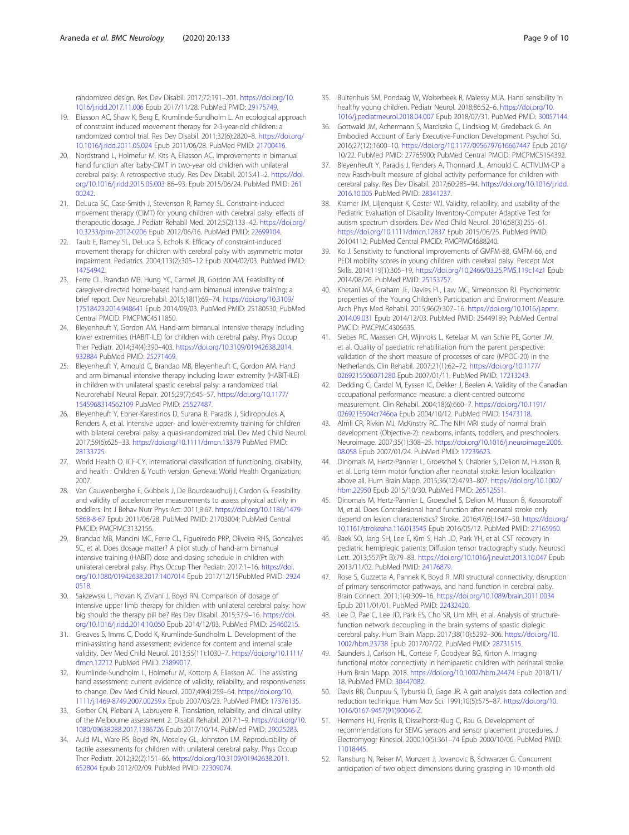<span id="page-8-0"></span>randomized design. Res Dev Disabil. 2017;72:191–201. [https://doi.org/10.](https://doi.org/10.1016/j.ridd.2017.11.006) [1016/j.ridd.2017.11.006](https://doi.org/10.1016/j.ridd.2017.11.006) Epub 2017/11/28. PubMed PMID: [29175749](https://www.ncbi.nlm.nih.gov/pubmed/29175749).

- 19. Eliasson AC, Shaw K, Berg E, Krumlinde-Sundholm L. An ecological approach of constraint induced movement therapy for 2-3-year-old children: a randomized control trial. Res Dev Disabil. 2011;32(6):2820–8. [https://doi.org/](https://doi.org/10.1016/j.ridd.2011.05.024) [10.1016/j.ridd.2011.05.024](https://doi.org/10.1016/j.ridd.2011.05.024) Epub 2011/06/28. PubMed PMID: [21700416](https://www.ncbi.nlm.nih.gov/pubmed/21700416).
- 20. Nordstrand L, Holmefur M, Kits A, Eliasson AC. Improvements in bimanual hand function after baby-CIMT in two-year old children with unilateral cerebral palsy: A retrospective study. Res Dev Disabil. 2015:41–2. [https://doi.](https://doi.org/10.1016/j.ridd.2015.05.003) [org/10.1016/j.ridd.2015.05.003](https://doi.org/10.1016/j.ridd.2015.05.003) 86–93. Epub 2015/06/24. PubMed PMID: [261](https://www.ncbi.nlm.nih.gov/pubmed/26100242) [00242.](https://www.ncbi.nlm.nih.gov/pubmed/26100242)
- 21. DeLuca SC, Case-Smith J, Stevenson R, Ramey SL. Constraint-induced movement therapy (CIMT) for young children with cerebral palsy: effects of therapeutic dosage. J Pediatr Rehabil Med. 2012;5(2):133–42. [https://doi.org/](https://doi.org/10.3233/prm-2012-0206) [10.3233/prm-2012-0206](https://doi.org/10.3233/prm-2012-0206) Epub 2012/06/16. PubMed PMID: [22699104](https://www.ncbi.nlm.nih.gov/pubmed/22699104).
- 22. Taub E, Ramey SL, DeLuca S, Echols K. Efficacy of constraint-induced movement therapy for children with cerebral palsy with asymmetric motor impairment. Pediatrics. 2004;113(2):305–12 Epub 2004/02/03. PubMed PMID: [14754942.](https://www.ncbi.nlm.nih.gov/pubmed/14754942)
- 23. Ferre CL, Brandao MB, Hung YC, Carmel JB, Gordon AM. Feasibility of caregiver-directed home-based hand-arm bimanual intensive training: a brief report. Dev Neurorehabil. 2015;18(1):69–74. [https://doi.org/10.3109/](https://doi.org/10.3109/17518423.2014.948641) [17518423.2014.948641](https://doi.org/10.3109/17518423.2014.948641) Epub 2014/09/03. PubMed PMID: 25180530; PubMed Central PMCID: PMCPMC4511850.
- 24. Bleyenheuft Y, Gordon AM. Hand-arm bimanual intensive therapy including lower extremities (HABIT-ILE) for children with cerebral palsy. Phys Occup Ther Pediatr. 2014;34(4):390–403. [https://doi.org/10.3109/01942638.2014.](https://doi.org/10.3109/01942638.2014.932884) [932884](https://doi.org/10.3109/01942638.2014.932884) PubMed PMID: [25271469](https://www.ncbi.nlm.nih.gov/pubmed/25271469).
- 25. Bleyenheuft Y, Arnould C, Brandao MB, Bleyenheuft C, Gordon AM. Hand and arm bimanual intensive therapy including lower extremity (HABIT-ILE) in children with unilateral spastic cerebral palsy: a randomized trial. Neurorehabil Neural Repair. 2015;29(7):645–57. [https://doi.org/10.1177/](https://doi.org/10.1177/1545968314562109) [1545968314562109](https://doi.org/10.1177/1545968314562109) PubMed PMID: [25527487](https://www.ncbi.nlm.nih.gov/pubmed/25527487).
- 26. Bleyenheuft Y, Ebner-Karestinos D, Surana B, Paradis J, Sidiropoulos A, Renders A, et al. Intensive upper- and lower-extremity training for children with bilateral cerebral palsy: a quasi-randomized trial. Dev Med Child Neurol. 2017;59(6):625–33. <https://doi.org/10.1111/dmcn.13379> PubMed PMID: [28133725.](https://www.ncbi.nlm.nih.gov/pubmed/28133725)
- 27. World Health O. ICF-CY, international classification of functioning, disability, and health : Children & Youth version. Geneva: World Health Organization; 2007.
- 28. Van Cauwenberghe E, Gubbels J, De Bourdeaudhuij I, Cardon G. Feasibility and validity of accelerometer measurements to assess physical activity in toddlers. Int J Behav Nutr Phys Act. 2011;8:67. [https://doi.org/10.1186/1479-](https://doi.org/10.1186/1479-5868-8-67) [5868-8-67](https://doi.org/10.1186/1479-5868-8-67) Epub 2011/06/28. PubMed PMID: 21703004; PubMed Central PMCID: PMCPMC3132156.
- 29. Brandao MB, Mancini MC, Ferre CL, Figueiredo PRP, Oliveira RHS, Goncalves SC, et al. Does dosage matter? A pilot study of hand-arm bimanual intensive training (HABIT) dose and dosing schedule in children with unilateral cerebral palsy. Phys Occup Ther Pediatr. 2017:1-16. https://doi [org/10.1080/01942638.2017.1407014](https://doi.org/10.1080/01942638.2017.1407014) Epub 2017/12/15PubMed PMID: [2924](https://www.ncbi.nlm.nih.gov/pubmed/29240518) [0518](https://www.ncbi.nlm.nih.gov/pubmed/29240518).
- 30. Sakzewski L, Provan K, Ziviani J, Boyd RN. Comparison of dosage of intensive upper limb therapy for children with unilateral cerebral palsy: how big should the therapy pill be? Res Dev Disabil. 2015;37:9–16. [https://doi.](https://doi.org/10.1016/j.ridd.2014.10.050) [org/10.1016/j.ridd.2014.10.050](https://doi.org/10.1016/j.ridd.2014.10.050) Epub 2014/12/03. PubMed PMID: [25460215](https://www.ncbi.nlm.nih.gov/pubmed/25460215).
- 31. Greaves S, Imms C, Dodd K, Krumlinde-Sundholm L. Development of the mini-assisting hand assessment: evidence for content and internal scale validity. Dev Med Child Neurol. 2013;55(11):1030–7. [https://doi.org/10.1111/](https://doi.org/10.1111/dmcn.12212) [dmcn.12212](https://doi.org/10.1111/dmcn.12212) PubMed PMID: [23899017](https://www.ncbi.nlm.nih.gov/pubmed/23899017).
- 32. Krumlinde-Sundholm L, Holmefur M, Kottorp A, Eliasson AC. The assisting hand assessment: current evidence of validity, reliability, and responsiveness to change. Dev Med Child Neurol. 2007;49(4):259–64. [https://doi.org/10.](https://doi.org/10.1111/j.1469-8749.2007.00259.x) [1111/j.1469-8749.2007.00259.x](https://doi.org/10.1111/j.1469-8749.2007.00259.x) Epub 2007/03/23. PubMed PMID: [17376135](https://www.ncbi.nlm.nih.gov/pubmed/17376135).
- 33. Gerber CN, Plebani A, Labruyere R. Translation, reliability, and clinical utility of the Melbourne assessment 2. Disabil Rehabil. 2017:1–9. [https://doi.org/10.](https://doi.org/10.1080/09638288.2017.1386726) [1080/09638288.2017.1386726](https://doi.org/10.1080/09638288.2017.1386726) Epub 2017/10/14. PubMed PMID: [29025283](https://www.ncbi.nlm.nih.gov/pubmed/29025283).
- 34. Auld ML, Ware RS, Boyd RN, Moseley GL, Johnston LM. Reproducibility of tactile assessments for children with unilateral cerebral palsy. Phys Occup Ther Pediatr. 2012;32(2):151–66. [https://doi.org/10.3109/01942638.2011.](https://doi.org/10.3109/01942638.2011.652804) [652804](https://doi.org/10.3109/01942638.2011.652804) Epub 2012/02/09. PubMed PMID: [22309074](https://www.ncbi.nlm.nih.gov/pubmed/22309074).
- 35. Buitenhuis SM, Pondaag W, Wolterbeek R, Malessy MJA. Hand sensibility in healthy young children. Pediatr Neurol. 2018;86:52–6. [https://doi.org/10.](https://doi.org/10.1016/j.pediatrneurol.2018.04.007) [1016/j.pediatrneurol.2018.04.007](https://doi.org/10.1016/j.pediatrneurol.2018.04.007) Epub 2018/07/31. PubMed PMID: [30057144](https://www.ncbi.nlm.nih.gov/pubmed/30057144).
- 36. Gottwald JM, Achermann S, Marciszko C, Lindskog M, Gredeback G. An Embodied Account of Early Executive-Function Development. Psychol Sci. 2016;27(12):1600–10. <https://doi.org/10.1177/0956797616667447> Epub 2016/ 10/22. PubMed PMID: 27765900; PubMed Central PMCID: PMCPMC5154392.
- 37. Bleyenheuft Y, Paradis J, Renders A, Thonnard JL, Arnould C. ACTIVLIM-CP a new Rasch-built measure of global activity performance for children with cerebral palsy. Res Dev Disabil. 2017;60:285–94. [https://doi.org/10.1016/j.ridd.](https://doi.org/10.1016/j.ridd.2016.10.005) [2016.10.005](https://doi.org/10.1016/j.ridd.2016.10.005) PubMed PMID: [28341237.](https://www.ncbi.nlm.nih.gov/pubmed/28341237)
- 38. Kramer JM, Liljenquist K, Coster WJ. Validity, reliability, and usability of the Pediatric Evaluation of Disability Inventory-Computer Adaptive Test for autism spectrum disorders. Dev Med Child Neurol. 2016;58(3):255–61. <https://doi.org/10.1111/dmcn.12837> Epub 2015/06/25. PubMed PMID: 26104112; PubMed Central PMCID: PMCPMC4688240.
- 39. Ko J. Sensitivity to functional improvements of GMFM-88, GMFM-66, and PEDI mobility scores in young children with cerebral palsy. Percept Mot Skills. 2014;119(1):305–19. <https://doi.org/10.2466/03.25.PMS.119c14z1> Epub 2014/08/26. PubMed PMID: [25153757](https://www.ncbi.nlm.nih.gov/pubmed/25153757).
- 40. Khetani MA, Graham JE, Davies PL, Law MC, Simeonsson RJ. Psychometric properties of the Young Children's Participation and Environment Measure. Arch Phys Med Rehabil. 2015;96(2):307–16. [https://doi.org/10.1016/j.apmr.](https://doi.org/10.1016/j.apmr.2014.09.031) [2014.09.031](https://doi.org/10.1016/j.apmr.2014.09.031) Epub 2014/12/03. PubMed PMID: 25449189; PubMed Central PMCID: PMCPMC4306635.
- 41. Siebes RC, Maassen GH, Wijnroks L, Ketelaar M, van Schie PE, Gorter JW, et al. Quality of paediatric rehabilitation from the parent perspective: validation of the short measure of processes of care (MPOC-20) in the Netherlands. Clin Rehabil. 2007;21(1):62–72. [https://doi.org/10.1177/](https://doi.org/10.1177/0269215506071280) [0269215506071280](https://doi.org/10.1177/0269215506071280) Epub 2007/01/11. PubMed PMID: [17213243.](https://www.ncbi.nlm.nih.gov/pubmed/17213243)
- 42. Dedding C, Cardol M, Eyssen IC, Dekker J, Beelen A. Validity of the Canadian occupational performance measure: a client-centred outcome measurement. Clin Rehabil. 2004;18(6):660–7. [https://doi.org/10.1191/](https://doi.org/10.1191/0269215504cr746oa) [0269215504cr746oa](https://doi.org/10.1191/0269215504cr746oa) Epub 2004/10/12. PubMed PMID: [15473118.](https://www.ncbi.nlm.nih.gov/pubmed/15473118)
- 43. Almli CR, Rivkin MJ, McKinstry RC. The NIH MRI study of normal brain development (Objective-2): newborns, infants, toddlers, and preschoolers. Neuroimage. 2007;35(1):308–25. [https://doi.org/10.1016/j.neuroimage.2006.](https://doi.org/10.1016/j.neuroimage.2006.08.058) [08.058](https://doi.org/10.1016/j.neuroimage.2006.08.058) Epub 2007/01/24. PubMed PMID: [17239623](https://www.ncbi.nlm.nih.gov/pubmed/17239623).
- 44. Dinomais M, Hertz-Pannier L, Groeschel S, Chabrier S, Delion M, Husson B, et al. Long term motor function after neonatal stroke: lesion localization above all. Hum Brain Mapp. 2015;36(12):4793–807. [https://doi.org/10.1002/](https://doi.org/10.1002/hbm.22950) [hbm.22950](https://doi.org/10.1002/hbm.22950) Epub 2015/10/30. PubMed PMID: [26512551.](https://www.ncbi.nlm.nih.gov/pubmed/26512551)
- 45. Dinomais M, Hertz-Pannier L, Groeschel S, Delion M, Husson B, Kossorotoff M, et al. Does Contralesional hand function after neonatal stroke only depend on lesion characteristics? Stroke. 2016;47(6):1647–50. [https://doi.org/](https://doi.org/10.1161/strokeaha.116.013545) [10.1161/strokeaha.116.013545](https://doi.org/10.1161/strokeaha.116.013545) Epub 2016/05/12. PubMed PMID: [27165960](https://www.ncbi.nlm.nih.gov/pubmed/27165960).
- 46. Baek SO, Jang SH, Lee E, Kim S, Hah JO, Park YH, et al. CST recovery in pediatric hemiplegic patients: Diffusion tensor tractography study. Neurosci Lett. 2013;557(Pt B):79–83. <https://doi.org/10.1016/j.neulet.2013.10.047> Epub 2013/11/02. PubMed PMID: [24176879](https://www.ncbi.nlm.nih.gov/pubmed/24176879).
- 47. Rose S, Guzzetta A, Pannek K, Boyd R. MRI structural connectivity, disruption of primary sensorimotor pathways, and hand function in cerebral palsy. Brain Connect. 2011;1(4):309–16. <https://doi.org/10.1089/brain.2011.0034> Epub 2011/01/01. PubMed PMID: [22432420.](https://www.ncbi.nlm.nih.gov/pubmed/22432420)
- 48. Lee D, Pae C, Lee JD, Park ES, Cho SR, Um MH, et al. Analysis of structurefunction network decoupling in the brain systems of spastic diplegic cerebral palsy. Hum Brain Mapp. 2017;38(10):5292–306. [https://doi.org/10.](https://doi.org/10.1002/hbm.23738) [1002/hbm.23738](https://doi.org/10.1002/hbm.23738) Epub 2017/07/22. PubMed PMID: [28731515.](https://www.ncbi.nlm.nih.gov/pubmed/28731515)
- 49. Saunders J, Carlson HL, Cortese F, Goodyear BG, Kirton A. Imaging functional motor connectivity in hemiparetic children with perinatal stroke. Hum Brain Mapp. 2018. <https://doi.org/10.1002/hbm.24474> Epub 2018/11/ 18. PubMed PMID: [30447082.](https://www.ncbi.nlm.nih.gov/pubmed/30447082)
- 50. Davis RB, Õunpuu S, Tyburski D, Gage JR. A gait analysis data collection and reduction technique. Hum Mov Sci. 1991;10(5):575–87. [https://doi.org/10.](https://doi.org/10.1016/0167-9457(91)90046-Z) [1016/0167-9457\(91\)90046-Z.](https://doi.org/10.1016/0167-9457(91)90046-Z)
- 51. Hermens HJ, Freriks B, Disselhorst-Klug C, Rau G. Development of recommendations for SEMG sensors and sensor placement procedures. J Electromyogr Kinesiol. 2000;10(5):361–74 Epub 2000/10/06. PubMed PMID: [11018445](https://www.ncbi.nlm.nih.gov/pubmed/11018445).
- 52. Ransburg N, Reiser M, Munzert J, Jovanovic B, Schwarzer G. Concurrent anticipation of two object dimensions during grasping in 10-month-old